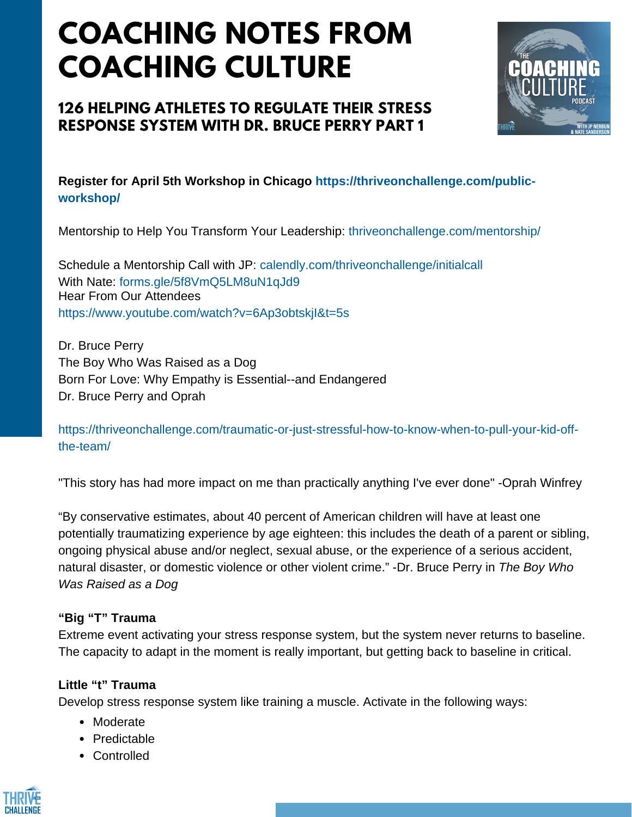# **COACHING NOTES FROM COACHING CULTURE**

## **126 HELPING ATHLETES TO REGULATE THEIR STRESS RESPONSE SYSTEM WITH DR. BRUCE PERRY PART 1**



**Register for April 5th Workshop in Chicago https://thriveonchallenge.com/publicworkshop/**

Mentorship to Help You Transform Your Leadership: thriveonchallenge.com/mentorship/

Schedule a Mentorship Call with JP: calendly.com/thriveonchallenge/initialcall With Nate: forms.gle/5f8VmO5LM8uN1qJd9 Hear From Our Attendees https://www.youtube.com/watch?v=6Ap3obtskjI&t=5s

Dr. Bruce Perry The Boy Who Was Raised as a Dog Born For Love: Why Empathy is Essential--and Endangered Dr. Bruce Perry and Oprah

https://thriveonchallenge.com/traumatic-or-just-stressful-how-to-know-when-to-pull-your-kid-offthe-team/

"This story has had more impact on me than practically anything I've ever done" -Oprah Winfrey

"By conservative estimates, about 40 percent of American children will have at least one potentially traumatizing experience by age eighteen: this includes the death of a parent or sibling, ongoing physical abuse and/or neglect, sexual abuse, or the experience of a serious accident, natural disaster, or domestic violence or other violent crime." -Dr. Bruce Perry in *The Boy Who Was Raised as a Dog*

### **"Big "T" Trauma**

Extreme event activating your stress response system, but the system never returns to baseline. The capacity to adapt in the moment is really important, but getting back to baseline in critical.

### **Little "t" Trauma**

Develop stress response system like training a muscle. Activate in the following ways:

- Moderate
- Predictable
- Controlled

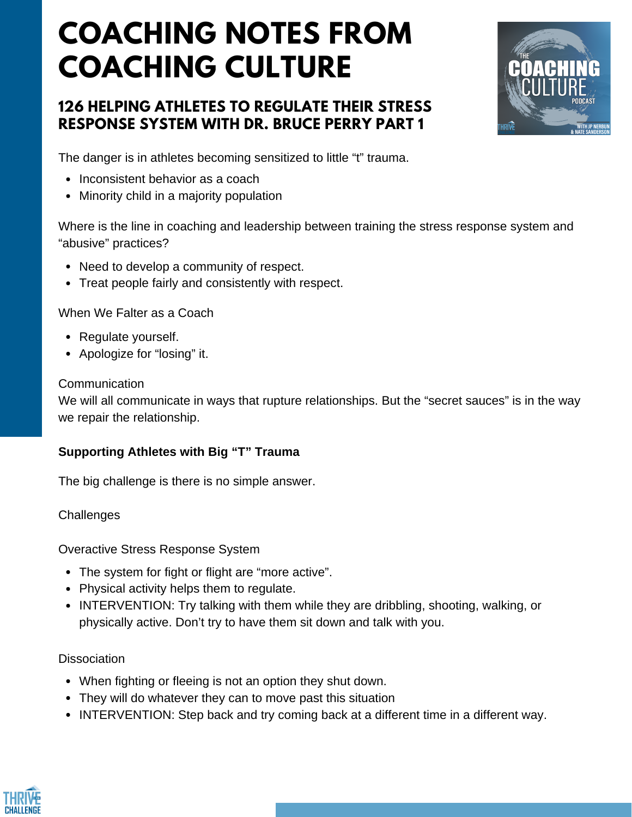# **COACHING NOTES FROM COACHING CULTURE**

## **126 HELPING ATHLETES TO REGULATE THEIR STRESS RESPONSE SYSTEM WITH DR. BRUCE PERRY PART 1**



The danger is in athletes becoming sensitized to little "t" trauma.

- Inconsistent behavior as a coach
- Minority child in a majority population

Where is the line in coaching and leadership between training the stress response system and "abusive" practices?

- Need to develop a community of respect.
- Treat people fairly and consistently with respect.

When We Falter as a Coach

- Regulate yourself.
- Apologize for "losing" it.

#### **Communication**

We will all communicate in ways that rupture relationships. But the "secret sauces" is in the way we repair the relationship.

#### **Supporting Athletes with Big "T" Trauma**

The big challenge is there is no simple answer.

**Challenges** 

Overactive Stress Response System

- The system for fight or flight are "more active".
- Physical activity helps them to regulate.
- INTERVENTION: Try talking with them while they are dribbling, shooting, walking, or physically active. Don't try to have them sit down and talk with you.

### Dissociation

- When fighting or fleeing is not an option they shut down.
- They will do whatever they can to move past this situation
- INTERVENTION: Step back and try coming back at a different time in a different way.